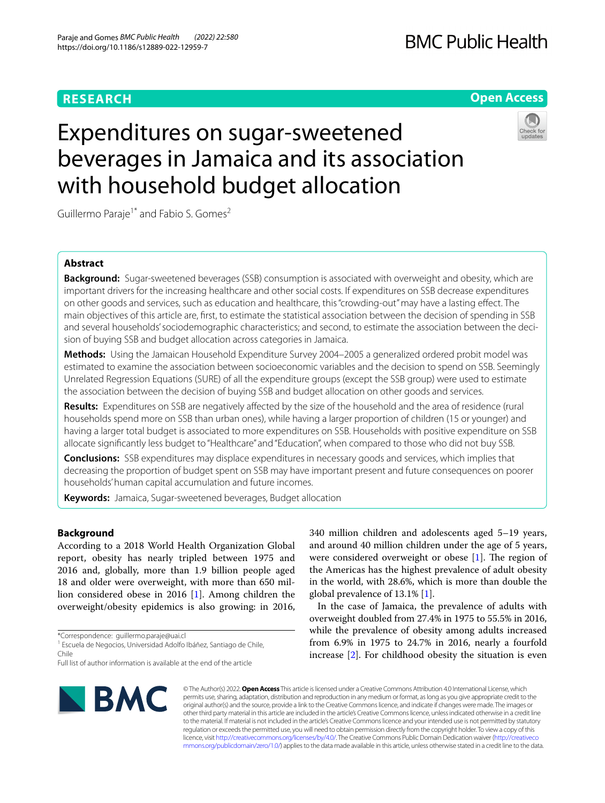# **RESEARCH**

## **Open Access**

# Expenditures on sugar-sweetened beverages in Jamaica and its association with household budget allocation



Guillermo Paraje<sup>1\*</sup> and Fabio S. Gomes<sup>2</sup>

## **Abstract**

**Background:** Sugar-sweetened beverages (SSB) consumption is associated with overweight and obesity, which are important drivers for the increasing healthcare and other social costs. If expenditures on SSB decrease expenditures on other goods and services, such as education and healthcare, this "crowding-out" may have a lasting efect. The main objectives of this article are, frst, to estimate the statistical association between the decision of spending in SSB and several households' sociodemographic characteristics; and second, to estimate the association between the decision of buying SSB and budget allocation across categories in Jamaica.

**Methods:** Using the Jamaican Household Expenditure Survey 2004–2005 a generalized ordered probit model was estimated to examine the association between socioeconomic variables and the decision to spend on SSB. Seemingly Unrelated Regression Equations (SURE) of all the expenditure groups (except the SSB group) were used to estimate the association between the decision of buying SSB and budget allocation on other goods and services.

**Results:** Expenditures on SSB are negatively afected by the size of the household and the area of residence (rural households spend more on SSB than urban ones), while having a larger proportion of children (15 or younger) and having a larger total budget is associated to more expenditures on SSB. Households with positive expenditure on SSB allocate signifcantly less budget to "Healthcare" and "Education", when compared to those who did not buy SSB.

**Conclusions:** SSB expenditures may displace expenditures in necessary goods and services, which implies that decreasing the proportion of budget spent on SSB may have important present and future consequences on poorer households' human capital accumulation and future incomes.

**Keywords:** Jamaica, Sugar-sweetened beverages, Budget allocation

## **Background**

According to a 2018 World Health Organization Global report, obesity has nearly tripled between 1975 and 2016 and, globally, more than 1.9 billion people aged 18 and older were overweight, with more than 650 million considered obese in 2016 [\[1\]](#page-9-0). Among children the overweight/obesity epidemics is also growing: in 2016,

\*Correspondence: guillermo.paraje@uai.cl

<sup>1</sup> Escuela de Negocios, Universidad Adolfo Ibáñez, Santiago de Chile, Chile

BMC

340 million children and adolescents aged 5–19 years, and around 40 million children under the age of 5 years, were considered overweight or obese  $[1]$  $[1]$ . The region of the Americas has the highest prevalence of adult obesity in the world, with 28.6%, which is more than double the global prevalence of 13.1% [[1\]](#page-9-0).

In the case of Jamaica, the prevalence of adults with overweight doubled from 27.4% in 1975 to 55.5% in 2016, while the prevalence of obesity among adults increased from 6.9% in 1975 to 24.7% in 2016, nearly a fourfold increase [\[2](#page-9-1)]. For childhood obesity the situation is even

© The Author(s) 2022. **Open Access** This article is licensed under a Creative Commons Attribution 4.0 International License, which permits use, sharing, adaptation, distribution and reproduction in any medium or format, as long as you give appropriate credit to the original author(s) and the source, provide a link to the Creative Commons licence, and indicate if changes were made. The images or other third party material in this article are included in the article's Creative Commons licence, unless indicated otherwise in a credit line to the material. If material is not included in the article's Creative Commons licence and your intended use is not permitted by statutory regulation or exceeds the permitted use, you will need to obtain permission directly from the copyright holder. To view a copy of this licence, visit [http://creativecommons.org/licenses/by/4.0/.](http://creativecommons.org/licenses/by/4.0/) The Creative Commons Public Domain Dedication waiver ([http://creativeco](http://creativecommons.org/publicdomain/zero/1.0/) [mmons.org/publicdomain/zero/1.0/](http://creativecommons.org/publicdomain/zero/1.0/)) applies to the data made available in this article, unless otherwise stated in a credit line to the data.

Full list of author information is available at the end of the article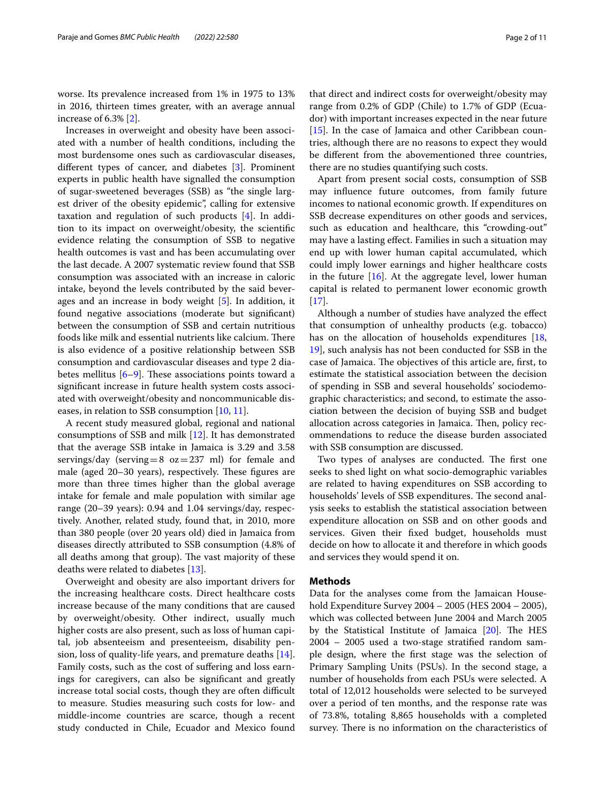worse. Its prevalence increased from 1% in 1975 to 13% in 2016, thirteen times greater, with an average annual increase of 6.3% [\[2](#page-9-1)].

Increases in overweight and obesity have been associated with a number of health conditions, including the most burdensome ones such as cardiovascular diseases, diferent types of cancer, and diabetes [\[3](#page-9-2)]. Prominent experts in public health have signalled the consumption of sugar-sweetened beverages (SSB) as "the single largest driver of the obesity epidemic", calling for extensive taxation and regulation of such products [\[4](#page-10-0)]. In addition to its impact on overweight/obesity, the scientifc evidence relating the consumption of SSB to negative health outcomes is vast and has been accumulating over the last decade. A 2007 systematic review found that SSB consumption was associated with an increase in caloric intake, beyond the levels contributed by the said beverages and an increase in body weight [\[5\]](#page-10-1). In addition, it found negative associations (moderate but signifcant) between the consumption of SSB and certain nutritious foods like milk and essential nutrients like calcium. There is also evidence of a positive relationship between SSB consumption and cardiovascular diseases and type 2 diabetes mellitus  $[6-9]$  $[6-9]$  $[6-9]$ . These associations points toward a signifcant increase in future health system costs associated with overweight/obesity and noncommunicable diseases, in relation to SSB consumption [\[10](#page-10-4), [11\]](#page-10-5).

A recent study measured global, regional and national consumptions of SSB and milk [[12\]](#page-10-6). It has demonstrated that the average SSB intake in Jamaica is 3.29 and 3.58 servings/day (serving=8  $oz=237$  ml) for female and male (aged 20–30 years), respectively. These figures are more than three times higher than the global average intake for female and male population with similar age range (20–39 years): 0.94 and 1.04 servings/day, respectively. Another, related study, found that, in 2010, more than 380 people (over 20 years old) died in Jamaica from diseases directly attributed to SSB consumption (4.8% of all deaths among that group). The vast majority of these deaths were related to diabetes [[13](#page-10-7)].

Overweight and obesity are also important drivers for the increasing healthcare costs. Direct healthcare costs increase because of the many conditions that are caused by overweight/obesity. Other indirect, usually much higher costs are also present, such as loss of human capital, job absenteeism and presenteeism, disability pension, loss of quality-life years, and premature deaths  $[14]$  $[14]$ . Family costs, such as the cost of sufering and loss earnings for caregivers, can also be signifcant and greatly increase total social costs, though they are often difficult to measure. Studies measuring such costs for low- and middle-income countries are scarce, though a recent study conducted in Chile, Ecuador and Mexico found that direct and indirect costs for overweight/obesity may range from 0.2% of GDP (Chile) to 1.7% of GDP (Ecuador) with important increases expected in the near future [[15\]](#page-10-9). In the case of Jamaica and other Caribbean countries, although there are no reasons to expect they would be diferent from the abovementioned three countries, there are no studies quantifying such costs.

Apart from present social costs, consumption of SSB may infuence future outcomes, from family future incomes to national economic growth. If expenditures on SSB decrease expenditures on other goods and services, such as education and healthcare, this "crowding-out" may have a lasting efect. Families in such a situation may end up with lower human capital accumulated, which could imply lower earnings and higher healthcare costs in the future  $[16]$  $[16]$  $[16]$ . At the aggregate level, lower human capital is related to permanent lower economic growth [[17\]](#page-10-11).

Although a number of studies have analyzed the efect that consumption of unhealthy products (e.g. tobacco) has on the allocation of households expenditures [[18](#page-10-12), [19\]](#page-10-13), such analysis has not been conducted for SSB in the case of Jamaica. The objectives of this article are, first, to estimate the statistical association between the decision of spending in SSB and several households' sociodemographic characteristics; and second, to estimate the association between the decision of buying SSB and budget allocation across categories in Jamaica. Then, policy recommendations to reduce the disease burden associated with SSB consumption are discussed.

Two types of analyses are conducted. The first one seeks to shed light on what socio-demographic variables are related to having expenditures on SSB according to households' levels of SSB expenditures. The second analysis seeks to establish the statistical association between expenditure allocation on SSB and on other goods and services. Given their fxed budget, households must decide on how to allocate it and therefore in which goods and services they would spend it on.

### **Methods**

Data for the analyses come from the Jamaican Household Expenditure Survey 2004 – 2005 (HES 2004 – 2005), which was collected between June 2004 and March 2005 by the Statistical Institute of Jamaica  $[20]$  $[20]$ . The HES 2004 – 2005 used a two-stage stratifed random sample design, where the frst stage was the selection of Primary Sampling Units (PSUs). In the second stage, a number of households from each PSUs were selected. A total of 12,012 households were selected to be surveyed over a period of ten months, and the response rate was of 73.8%, totaling 8,865 households with a completed survey. There is no information on the characteristics of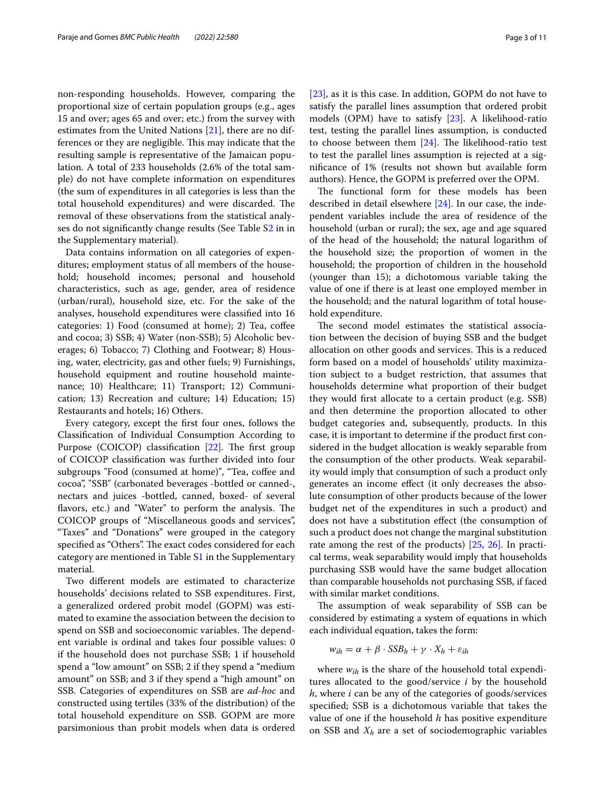non-responding households. However, comparing the proportional size of certain population groups (e.g., ages 15 and over; ages 65 and over; etc.) from the survey with estimates from the United Nations [\[21](#page-10-15)], there are no differences or they are negligible. This may indicate that the resulting sample is representative of the Jamaican population. A total of 233 households (2.6% of the total sample) do not have complete information on expenditures (the sum of expenditures in all categories is less than the total household expenditures) and were discarded. The removal of these observations from the statistical analyses do not signifcantly change results (See Table [S2](#page-9-3) in in the Supplementary material).

Data contains information on all categories of expenditures; employment status of all members of the household; household incomes; personal and household characteristics, such as age, gender, area of residence (urban/rural), household size, etc. For the sake of the analyses, household expenditures were classifed into 16 categories: 1) Food (consumed at home); 2) Tea, coffee and cocoa; 3) SSB; 4) Water (non-SSB); 5) Alcoholic beverages; 6) Tobacco; 7) Clothing and Footwear; 8) Housing, water, electricity, gas and other fuels; 9) Furnishings, household equipment and routine household maintenance; 10) Healthcare; 11) Transport; 12) Communication; 13) Recreation and culture; 14) Education; 15) Restaurants and hotels; 16) Others.

Every category, except the frst four ones, follows the Classifcation of Individual Consumption According to Purpose (COICOP) classification [[22\]](#page-10-16). The first group of COICOP classifcation was further divided into four subgroups "Food (consumed at home)", "Tea, cofee and cocoa", "SSB" (carbonated beverages -bottled or canned-, nectars and juices -bottled, canned, boxed- of several flavors, etc.) and "Water" to perform the analysis. The COICOP groups of "Miscellaneous goods and services", "Taxes" and "Donations" were grouped in the category specified as "Others". The exact codes considered for each category are mentioned in Table [S1](#page-9-3) in the Supplementary material.

Two diferent models are estimated to characterize households' decisions related to SSB expenditures. First, a generalized ordered probit model (GOPM) was estimated to examine the association between the decision to spend on SSB and socioeconomic variables. The dependent variable is ordinal and takes four possible values: 0 if the household does not purchase SSB; 1 if household spend a "low amount" on SSB; 2 if they spend a "medium amount" on SSB; and 3 if they spend a "high amount" on SSB. Categories of expenditures on SSB are *ad-hoc* and constructed using tertiles (33% of the distribution) of the total household expenditure on SSB. GOPM are more parsimonious than probit models when data is ordered [[23\]](#page-10-17), as it is this case. In addition, GOPM do not have to satisfy the parallel lines assumption that ordered probit models (OPM) have to satisfy [\[23\]](#page-10-17). A likelihood-ratio test, testing the parallel lines assumption, is conducted to choose between them  $[24]$ . The likelihood-ratio test to test the parallel lines assumption is rejected at a signifcance of 1% (results not shown but available form authors). Hence, the GOPM is preferred over the OPM.

The functional form for these models has been described in detail elsewhere [\[24\]](#page-10-18). In our case, the independent variables include the area of residence of the household (urban or rural); the sex, age and age squared of the head of the household; the natural logarithm of the household size; the proportion of women in the household; the proportion of children in the household (younger than 15); a dichotomous variable taking the value of one if there is at least one employed member in the household; and the natural logarithm of total household expenditure.

The second model estimates the statistical association between the decision of buying SSB and the budget allocation on other goods and services. This is a reduced form based on a model of households' utility maximization subject to a budget restriction, that assumes that households determine what proportion of their budget they would frst allocate to a certain product (e.g. SSB) and then determine the proportion allocated to other budget categories and, subsequently, products. In this case, it is important to determine if the product frst considered in the budget allocation is weakly separable from the consumption of the other products. Weak separability would imply that consumption of such a product only generates an income efect (it only decreases the absolute consumption of other products because of the lower budget net of the expenditures in such a product) and does not have a substitution efect (the consumption of such a product does not change the marginal substitution rate among the rest of the products) [[25,](#page-10-19) [26](#page-10-20)]. In practical terms, weak separability would imply that households purchasing SSB would have the same budget allocation than comparable households not purchasing SSB, if faced with similar market conditions.

The assumption of weak separability of SSB can be considered by estimating a system of equations in which each individual equation, takes the form:

$$
w_{ih} = \alpha + \beta \cdot SSB_h + \gamma \cdot X_h + \varepsilon_{ih}
$$

where  $w_{ih}$  is the share of the household total expenditures allocated to the good/service *i* by the household *h*, where *i* can be any of the categories of goods/services specifed; SSB is a dichotomous variable that takes the value of one if the household *h* has positive expenditure on SSB and  $X_h$  are a set of sociodemographic variables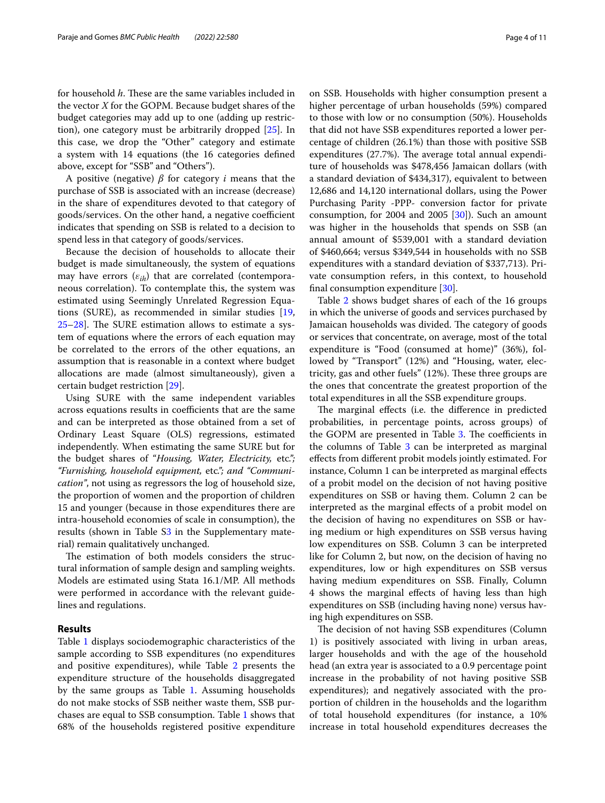for household *h*. These are the same variables included in the vector *X* for the GOPM. Because budget shares of the budget categories may add up to one (adding up restriction), one category must be arbitrarily dropped [[25\]](#page-10-19). In this case, we drop the "Other" category and estimate a system with 14 equations (the 16 categories defned above, except for "SSB" and "Others").

A positive (negative) *β* for category *i* means that the purchase of SSB is associated with an increase (decrease) in the share of expenditures devoted to that category of goods/services. On the other hand, a negative coefficient indicates that spending on SSB is related to a decision to spend less in that category of goods/services.

Because the decision of households to allocate their budget is made simultaneously, the system of equations may have errors  $(\varepsilon_{ih})$  that are correlated (contemporaneous correlation). To contemplate this, the system was estimated using Seemingly Unrelated Regression Equations (SURE), as recommended in similar studies [\[19](#page-10-13),  $25-28$  $25-28$ . The SURE estimation allows to estimate a system of equations where the errors of each equation may be correlated to the errors of the other equations, an assumption that is reasonable in a context where budget allocations are made (almost simultaneously), given a certain budget restriction [\[29](#page-10-22)].

Using SURE with the same independent variables across equations results in coefficients that are the same and can be interpreted as those obtained from a set of Ordinary Least Square (OLS) regressions, estimated independently. When estimating the same SURE but for the budget shares of "*Housing, Water, Electricity,* etc*."; "Furnishing, household equipment,* etc*."; and "Communication"*, not using as regressors the log of household size, the proportion of women and the proportion of children 15 and younger (because in those expenditures there are intra-household economies of scale in consumption), the results (shown in Table S[3](#page-9-3) in the Supplementary material) remain qualitatively unchanged.

The estimation of both models considers the structural information of sample design and sampling weights. Models are estimated using Stata 16.1/MP. All methods were performed in accordance with the relevant guidelines and regulations.

#### **Results**

Table [1](#page-4-0) displays sociodemographic characteristics of the sample according to SSB expenditures (no expenditures and positive expenditures), while Table [2](#page-5-0) presents the expenditure structure of the households disaggregated by the same groups as Table [1.](#page-4-0) Assuming households do not make stocks of SSB neither waste them, SSB purchases are equal to SSB consumption. Table [1](#page-4-0) shows that 68% of the households registered positive expenditure on SSB. Households with higher consumption present a higher percentage of urban households (59%) compared to those with low or no consumption (50%). Households that did not have SSB expenditures reported a lower percentage of children (26.1%) than those with positive SSB expenditures (27.7%). The average total annual expenditure of households was \$478,456 Jamaican dollars (with a standard deviation of \$434,317), equivalent to between 12,686 and 14,120 international dollars, using the Power Purchasing Parity -PPP- conversion factor for private consumption, for 2004 and 2005 [[30\]](#page-10-23)). Such an amount was higher in the households that spends on SSB (an

annual amount of \$539,001 with a standard deviation of \$460,664; versus \$349,544 in households with no SSB expenditures with a standard deviation of \$337,713). Private consumption refers, in this context, to household fnal consumption expenditure [[30](#page-10-23)].

Table [2](#page-5-0) shows budget shares of each of the 16 groups in which the universe of goods and services purchased by Jamaican households was divided. The category of goods or services that concentrate, on average, most of the total expenditure is "Food (consumed at home)" (36%), followed by "Transport" (12%) and "Housing, water, electricity, gas and other fuels" (12%). These three groups are the ones that concentrate the greatest proportion of the total expenditures in all the SSB expenditure groups.

The marginal effects (i.e. the difference in predicted probabilities, in percentage points, across groups) of the GOPM are presented in Table [3](#page-6-0). The coefficients in the columns of Table [3](#page-6-0) can be interpreted as marginal efects from diferent probit models jointly estimated. For instance, Column 1 can be interpreted as marginal efects of a probit model on the decision of not having positive expenditures on SSB or having them. Column 2 can be interpreted as the marginal efects of a probit model on the decision of having no expenditures on SSB or having medium or high expenditures on SSB versus having low expenditures on SSB. Column 3 can be interpreted like for Column 2, but now, on the decision of having no expenditures, low or high expenditures on SSB versus having medium expenditures on SSB. Finally, Column 4 shows the marginal efects of having less than high expenditures on SSB (including having none) versus having high expenditures on SSB.

The decision of not having SSB expenditures (Column 1) is positively associated with living in urban areas, larger households and with the age of the household head (an extra year is associated to a 0.9 percentage point increase in the probability of not having positive SSB expenditures); and negatively associated with the proportion of children in the households and the logarithm of total household expenditures (for instance, a 10% increase in total household expenditures decreases the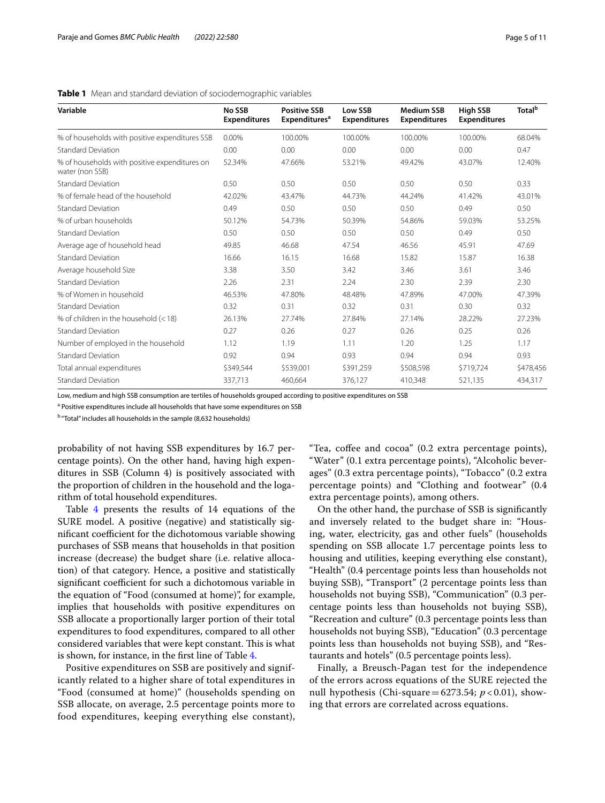| Variable                                                         | <b>No SSB</b><br><b>Expenditures</b> | <b>Positive SSB</b><br><b>Expenditures<sup>a</sup></b> | Low SSB<br><b>Expenditures</b> | <b>Medium SSB</b><br><b>Expenditures</b> | <b>High SSB</b><br><b>Expenditures</b> | <b>Total</b> <sup>b</sup> |
|------------------------------------------------------------------|--------------------------------------|--------------------------------------------------------|--------------------------------|------------------------------------------|----------------------------------------|---------------------------|
| % of households with positive expenditures SSB                   | 0.00%                                | 100.00%                                                | 100.00%                        | 100.00%                                  | 100.00%                                | 68.04%                    |
| <b>Standard Deviation</b>                                        | 0.00                                 | 0.00                                                   | 0.00                           | 0.00                                     | 0.00                                   | 0.47                      |
| % of households with positive expenditures on<br>water (non SSB) | 52.34%                               | 47.66%                                                 | 53.21%                         | 49.42%                                   | 43.07%                                 | 12.40%                    |
| <b>Standard Deviation</b>                                        | 0.50                                 | 0.50                                                   | 0.50                           | 0.50                                     | 0.50                                   | 0.33                      |
| % of female head of the household                                | 42.02%                               | 43.47%                                                 | 44.73%                         | 44.24%                                   | 41.42%                                 | 43.01%                    |
| <b>Standard Deviation</b>                                        | 0.49                                 | 0.50                                                   | 0.50                           | 0.50                                     | 0.49                                   | 0.50                      |
| % of urban households                                            | 50.12%                               | 54.73%                                                 | 50.39%                         | 54.86%                                   | 59.03%                                 | 53.25%                    |
| <b>Standard Deviation</b>                                        | 0.50                                 | 0.50                                                   | 0.50                           | 0.50                                     | 0.49                                   | 0.50                      |
| Average age of household head                                    | 49.85                                | 46.68                                                  | 47.54                          | 46.56                                    | 45.91                                  | 47.69                     |
| <b>Standard Deviation</b>                                        | 16.66                                | 16.15                                                  | 16.68                          | 15.82                                    | 15.87                                  | 16.38                     |
| Average household Size                                           | 3.38                                 | 3.50                                                   | 3.42                           | 3.46                                     | 3.61                                   | 3.46                      |
| <b>Standard Deviation</b>                                        | 2.26                                 | 2.31                                                   | 2.24                           | 2.30                                     | 2.39                                   | 2.30                      |
| % of Women in household                                          | 46.53%                               | 47.80%                                                 | 48.48%                         | 47.89%                                   | 47.00%                                 | 47.39%                    |
| <b>Standard Deviation</b>                                        | 0.32                                 | 0.31                                                   | 0.32                           | 0.31                                     | 0.30                                   | 0.32                      |
| % of children in the household $(< 18)$                          | 26.13%                               | 27.74%                                                 | 27.84%                         | 27.14%                                   | 28.22%                                 | 27.23%                    |
| <b>Standard Deviation</b>                                        | 0.27                                 | 0.26                                                   | 0.27                           | 0.26                                     | 0.25                                   | 0.26                      |
| Number of employed in the household                              | 1.12                                 | 1.19                                                   | 1.11                           | 1.20                                     | 1.25                                   | 1.17                      |
| <b>Standard Deviation</b>                                        | 0.92                                 | 0.94                                                   | 0.93                           | 0.94                                     | 0.94                                   | 0.93                      |
| Total annual expenditures                                        | \$349,544                            | \$539,001                                              | \$391,259                      | \$508,598                                | \$719,724                              | \$478,456                 |
| <b>Standard Deviation</b>                                        | 337,713                              | 460,664                                                | 376,127                        | 410,348                                  | 521,135                                | 434,317                   |

<span id="page-4-0"></span>**Table 1** Mean and standard deviation of sociodemographic variables

Low, medium and high SSB consumption are tertiles of households grouped according to positive expenditures on SSB

<sup>a</sup> Positive expenditures include all households that have some expenditures on SSB

<sup>b</sup> "Total" includes all households in the sample (8,632 households)

probability of not having SSB expenditures by 16.7 percentage points). On the other hand, having high expenditures in SSB (Column 4) is positively associated with the proportion of children in the household and the logarithm of total household expenditures.

Table [4](#page-7-0) presents the results of 14 equations of the SURE model. A positive (negative) and statistically significant coefficient for the dichotomous variable showing purchases of SSB means that households in that position increase (decrease) the budget share (i.e. relative allocation) of that category. Hence, a positive and statistically significant coefficient for such a dichotomous variable in the equation of "Food (consumed at home)", for example, implies that households with positive expenditures on SSB allocate a proportionally larger portion of their total expenditures to food expenditures, compared to all other considered variables that were kept constant. This is what is shown, for instance, in the frst line of Table [4.](#page-7-0)

Positive expenditures on SSB are positively and significantly related to a higher share of total expenditures in "Food (consumed at home)" (households spending on SSB allocate, on average, 2.5 percentage points more to food expenditures, keeping everything else constant),

"Tea, cofee and cocoa" (0.2 extra percentage points), "Water" (0.1 extra percentage points), "Alcoholic beverages" (0.3 extra percentage points), "Tobacco" (0.2 extra percentage points) and "Clothing and footwear" (0.4 extra percentage points), among others.

On the other hand, the purchase of SSB is signifcantly and inversely related to the budget share in: "Housing, water, electricity, gas and other fuels" (households spending on SSB allocate 1.7 percentage points less to housing and utilities, keeping everything else constant), "Health" (0.4 percentage points less than households not buying SSB), "Transport" (2 percentage points less than households not buying SSB), "Communication" (0.3 percentage points less than households not buying SSB), "Recreation and culture" (0.3 percentage points less than households not buying SSB), "Education" (0.3 percentage points less than households not buying SSB), and "Restaurants and hotels" (0.5 percentage points less).

Finally, a Breusch-Pagan test for the independence of the errors across equations of the SURE rejected the null hypothesis (Chi-square=6273.54;  $p < 0.01$ ), showing that errors are correlated across equations.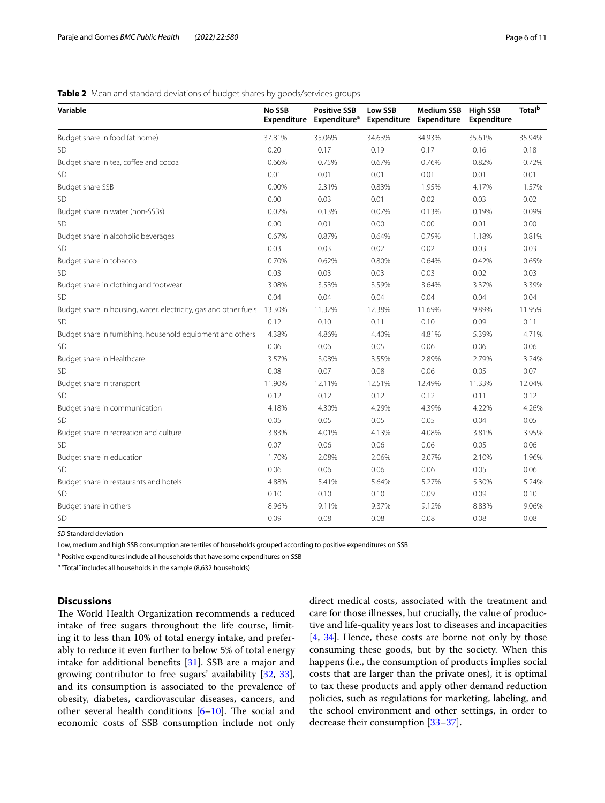## <span id="page-5-0"></span>**Table 2** Mean and standard deviations of budget shares by goods/services groups

| Variable                                                         | No SSB<br>Expenditure | <b>Positive SSB</b><br><b>Expenditure</b> <sup>a</sup> | Low SSB<br>Expenditure | <b>Medium SSB</b><br>Expenditure | <b>High SSB</b><br>Expenditure | <b>Total</b> <sup>b</sup> |
|------------------------------------------------------------------|-----------------------|--------------------------------------------------------|------------------------|----------------------------------|--------------------------------|---------------------------|
| Budget share in food (at home)                                   | 37.81%                | 35.06%                                                 | 34.63%                 | 34.93%                           | 35.61%                         | 35.94%                    |
| SD                                                               | 0.20                  | 0.17                                                   | 0.19                   | 0.17                             | 0.16                           | 0.18                      |
| Budget share in tea, coffee and cocoa                            | 0.66%                 | 0.75%                                                  | 0.67%                  | 0.76%                            | 0.82%                          | 0.72%                     |
| <b>SD</b>                                                        | 0.01                  | 0.01                                                   | 0.01                   | 0.01                             | 0.01                           | 0.01                      |
| Budget share SSB                                                 | 0.00%                 | 2.31%                                                  | 0.83%                  | 1.95%                            | 4.17%                          | 1.57%                     |
| SD                                                               | 0.00                  | 0.03                                                   | 0.01                   | 0.02                             | 0.03                           | 0.02                      |
| Budget share in water (non-SSBs)                                 | 0.02%                 | 0.13%                                                  | 0.07%                  | 0.13%                            | 0.19%                          | 0.09%                     |
| <b>SD</b>                                                        | 0.00                  | 0.01                                                   | 0.00                   | 0.00                             | 0.01                           | 0.00                      |
| Budget share in alcoholic beverages                              | 0.67%                 | 0.87%                                                  | 0.64%                  | 0.79%                            | 1.18%                          | 0.81%                     |
| <b>SD</b>                                                        | 0.03                  | 0.03                                                   | 0.02                   | 0.02                             | 0.03                           | 0.03                      |
| Budget share in tobacco                                          | 0.70%                 | 0.62%                                                  | 0.80%                  | 0.64%                            | 0.42%                          | 0.65%                     |
| SD                                                               | 0.03                  | 0.03                                                   | 0.03                   | 0.03                             | 0.02                           | 0.03                      |
| Budget share in clothing and footwear                            | 3.08%                 | 3.53%                                                  | 3.59%                  | 3.64%                            | 3.37%                          | 3.39%                     |
| <b>SD</b>                                                        | 0.04                  | 0.04                                                   | 0.04                   | 0.04                             | 0.04                           | 0.04                      |
| Budget share in housing, water, electricity, gas and other fuels | 13.30%                | 11.32%                                                 | 12.38%                 | 11.69%                           | 9.89%                          | 11.95%                    |
| SD                                                               | 0.12                  | 0.10                                                   | 0.11                   | 0.10                             | 0.09                           | 0.11                      |
| Budget share in furnishing, household equipment and others       | 4.38%                 | 4.86%                                                  | 4.40%                  | 4.81%                            | 5.39%                          | 4.71%                     |
| <b>SD</b>                                                        | 0.06                  | 0.06                                                   | 0.05                   | 0.06                             | 0.06                           | 0.06                      |
| Budget share in Healthcare                                       | 3.57%                 | 3.08%                                                  | 3.55%                  | 2.89%                            | 2.79%                          | 3.24%                     |
| <b>SD</b>                                                        | 0.08                  | 0.07                                                   | 0.08                   | 0.06                             | 0.05                           | 0.07                      |
| Budget share in transport                                        | 11.90%                | 12.11%                                                 | 12.51%                 | 12.49%                           | 11.33%                         | 12.04%                    |
| <b>SD</b>                                                        | 0.12                  | 0.12                                                   | 0.12                   | 0.12                             | 0.11                           | 0.12                      |
| Budget share in communication                                    | 4.18%                 | 4.30%                                                  | 4.29%                  | 4.39%                            | 4.22%                          | 4.26%                     |
| <b>SD</b>                                                        | 0.05                  | 0.05                                                   | 0.05                   | 0.05                             | 0.04                           | 0.05                      |
| Budget share in recreation and culture                           | 3.83%                 | 4.01%                                                  | 4.13%                  | 4.08%                            | 3.81%                          | 3.95%                     |
| <b>SD</b>                                                        | 0.07                  | 0.06                                                   | 0.06                   | 0.06                             | 0.05                           | 0.06                      |
| Budget share in education                                        | 1.70%                 | 2.08%                                                  | 2.06%                  | 2.07%                            | 2.10%                          | 1.96%                     |
| <b>SD</b>                                                        | 0.06                  | 0.06                                                   | 0.06                   | 0.06                             | 0.05                           | 0.06                      |
| Budget share in restaurants and hotels                           | 4.88%                 | 5.41%                                                  | 5.64%                  | 5.27%                            | 5.30%                          | 5.24%                     |
| <b>SD</b>                                                        | 0.10                  | 0.10                                                   | 0.10                   | 0.09                             | 0.09                           | 0.10                      |
| Budget share in others                                           | 8.96%                 | 9.11%                                                  | 9.37%                  | 9.12%                            | 8.83%                          | 9.06%                     |
| <b>SD</b>                                                        | 0.09                  | 0.08                                                   | 0.08                   | 0.08                             | 0.08                           | 0.08                      |

*SD* Standard deviation

Low, medium and high SSB consumption are tertiles of households grouped according to positive expenditures on SSB

<sup>a</sup> Positive expenditures include all households that have some expenditures on SSB

<sup>b</sup> "Total" includes all households in the sample (8,632 households)

## **Discussions**

The World Health Organization recommends a reduced intake of free sugars throughout the life course, limiting it to less than 10% of total energy intake, and preferably to reduce it even further to below 5% of total energy intake for additional benefts [[31\]](#page-10-24). SSB are a major and growing contributor to free sugars' availability [\[32](#page-10-25), [33](#page-10-26)], and its consumption is associated to the prevalence of obesity, diabetes, cardiovascular diseases, cancers, and other several health conditions  $[6–10]$  $[6–10]$  $[6–10]$ . The social and economic costs of SSB consumption include not only direct medical costs, associated with the treatment and care for those illnesses, but crucially, the value of productive and life-quality years lost to diseases and incapacities [[4,](#page-10-0) [34\]](#page-10-27). Hence, these costs are borne not only by those consuming these goods, but by the society. When this happens (i.e., the consumption of products implies social costs that are larger than the private ones), it is optimal to tax these products and apply other demand reduction policies, such as regulations for marketing, labeling, and the school environment and other settings, in order to decrease their consumption [[33](#page-10-26)[–37](#page-10-28)].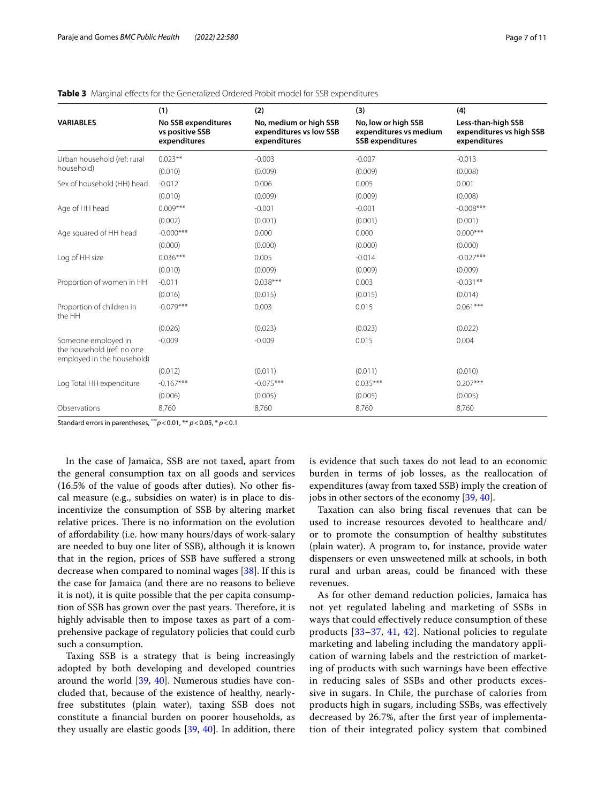|                                                                                 | (1)                                                    | (2)                                                               | (3)                                                                      | (4)                                                            |
|---------------------------------------------------------------------------------|--------------------------------------------------------|-------------------------------------------------------------------|--------------------------------------------------------------------------|----------------------------------------------------------------|
| <b>VARIABLES</b>                                                                | No SSB expenditures<br>vs positive SSB<br>expenditures | No, medium or high SSB<br>expenditures vs low SSB<br>expenditures | No, low or high SSB<br>expenditures vs medium<br><b>SSB</b> expenditures | Less-than-high SSB<br>expenditures vs high SSB<br>expenditures |
| Urban household (ref: rural                                                     | $0.023**$                                              | $-0.003$                                                          | $-0.007$                                                                 | $-0.013$                                                       |
| household)                                                                      | (0.010)                                                | (0.009)                                                           | (0.009)                                                                  | (0.008)                                                        |
| Sex of household (HH) head                                                      | $-0.012$                                               | 0.006                                                             | 0.005                                                                    | 0.001                                                          |
|                                                                                 | (0.010)                                                | (0.009)                                                           | (0.009)                                                                  | (0.008)                                                        |
| Age of HH head                                                                  | $0.009***$                                             | $-0.001$                                                          | $-0.001$                                                                 | $-0.008***$                                                    |
|                                                                                 | (0.002)                                                | (0.001)                                                           | (0.001)                                                                  | (0.001)                                                        |
| Age squared of HH head                                                          | $-0.000***$                                            | 0.000                                                             | 0.000                                                                    | $0.000***$                                                     |
|                                                                                 | (0.000)                                                | (0.000)                                                           | (0.000)                                                                  | (0.000)                                                        |
| Log of HH size                                                                  | $0.036***$                                             | 0.005                                                             | $-0.014$                                                                 | $-0.027***$                                                    |
|                                                                                 | (0.010)                                                | (0.009)                                                           | (0.009)                                                                  | (0.009)                                                        |
| Proportion of women in HH                                                       | $-0.011$                                               | $0.038***$                                                        | 0.003                                                                    | $-0.031**$                                                     |
|                                                                                 | (0.016)                                                | (0.015)                                                           | (0.015)                                                                  | (0.014)                                                        |
| Proportion of children in<br>the HH                                             | $-0.079***$                                            | 0.003                                                             | 0.015                                                                    | $0.061***$                                                     |
|                                                                                 | (0.026)                                                | (0.023)                                                           | (0.023)                                                                  | (0.022)                                                        |
| Someone employed in<br>the household (ref: no one<br>employed in the household) | $-0.009$                                               | $-0.009$                                                          | 0.015                                                                    | 0.004                                                          |
|                                                                                 | (0.012)                                                | (0.011)                                                           | (0.011)                                                                  | (0.010)                                                        |
| Log Total HH expenditure                                                        | $-0.167***$                                            | $-0.075***$                                                       | $0.035***$                                                               | $0.207***$                                                     |
|                                                                                 | (0.006)                                                | (0.005)                                                           | (0.005)                                                                  | (0.005)                                                        |
| Observations                                                                    | 8,760                                                  | 8,760                                                             | 8,760                                                                    | 8,760                                                          |

#### <span id="page-6-0"></span>**Table 3** Marginal effects for the Generalized Ordered Probit model for SSB expenditures

Standard errors in parentheses, \*\*\**p*<0.01, \*\* *p*<0.05, \* *p*<0.1

In the case of Jamaica, SSB are not taxed, apart from the general consumption tax on all goods and services (16.5% of the value of goods after duties). No other fscal measure (e.g., subsidies on water) is in place to disincentivize the consumption of SSB by altering market relative prices. There is no information on the evolution of afordability (i.e. how many hours/days of work-salary are needed to buy one liter of SSB), although it is known that in the region, prices of SSB have sufered a strong decrease when compared to nominal wages [\[38\]](#page-10-29). If this is the case for Jamaica (and there are no reasons to believe it is not), it is quite possible that the per capita consumption of SSB has grown over the past years. Therefore, it is highly advisable then to impose taxes as part of a comprehensive package of regulatory policies that could curb such a consumption.

Taxing SSB is a strategy that is being increasingly adopted by both developing and developed countries around the world [\[39](#page-10-30), [40\]](#page-10-31). Numerous studies have concluded that, because of the existence of healthy, nearlyfree substitutes (plain water), taxing SSB does not constitute a fnancial burden on poorer households, as they usually are elastic goods [\[39](#page-10-30), [40](#page-10-31)]. In addition, there is evidence that such taxes do not lead to an economic burden in terms of job losses, as the reallocation of expenditures (away from taxed SSB) imply the creation of jobs in other sectors of the economy [\[39,](#page-10-30) [40](#page-10-31)].

Taxation can also bring fscal revenues that can be used to increase resources devoted to healthcare and/ or to promote the consumption of healthy substitutes (plain water). A program to, for instance, provide water dispensers or even unsweetened milk at schools, in both rural and urban areas, could be fnanced with these revenues.

As for other demand reduction policies, Jamaica has not yet regulated labeling and marketing of SSBs in ways that could efectively reduce consumption of these products [\[33](#page-10-26)[–37](#page-10-28), [41,](#page-10-32) [42\]](#page-10-33). National policies to regulate marketing and labeling including the mandatory application of warning labels and the restriction of marketing of products with such warnings have been efective in reducing sales of SSBs and other products excessive in sugars. In Chile, the purchase of calories from products high in sugars, including SSBs, was efectively decreased by 26.7%, after the frst year of implementation of their integrated policy system that combined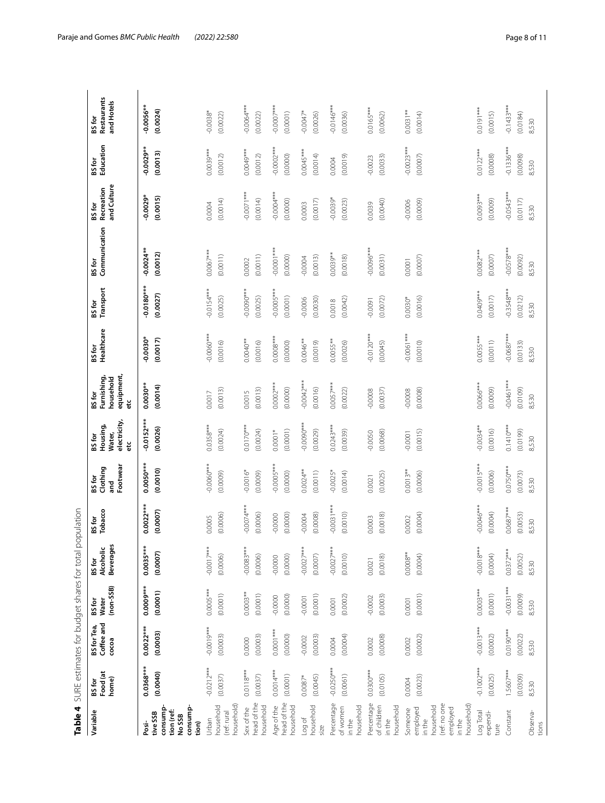<span id="page-7-0"></span>

|                                                                                                |                                  |                                          |                                       | Table 4 SURE estimates for budget shares for total population |                                |                                                  |                                                    |                                                        |                                   |                                   |                                   |                                     |                                   |                                     |
|------------------------------------------------------------------------------------------------|----------------------------------|------------------------------------------|---------------------------------------|---------------------------------------------------------------|--------------------------------|--------------------------------------------------|----------------------------------------------------|--------------------------------------------------------|-----------------------------------|-----------------------------------|-----------------------------------|-------------------------------------|-----------------------------------|-------------------------------------|
| Variable                                                                                       | Food (at<br>home)<br>BS for      | Coffee and<br><b>BS</b> for Tea<br>cocoa | $(non-SSB)$<br><b>Water</b><br>BS for | <b>Beverages</b><br>Alcoholic<br>BS for                       | <b>Tobacco</b><br>BS for       | Footwear<br>Clothing<br><b>BSfor</b><br>ng<br>Ta | electricity,<br>Housing,<br>Water,<br>BS for<br>eť | equipment,<br>Furnishing,<br>household<br>BS for<br>٥ř | Healthcare<br>BS for              | Transport<br>BS for               | Communication<br>BS for           | and Culture<br>Recreation<br>BS for | Education<br>BS for               | Restaurants<br>and Hotels<br>BS for |
| consump-<br>consump<br>tion (ref:<br>tive SSB<br>No SSB<br>Posi-<br>tion)                      | $0.0368***$<br>(0.0040)          | $0.0022***$<br>(0.0003)                  | $0.0009***$<br>(0.0001)               | $0.0035***$<br>(0.0007)                                       | $0.0022***$<br>(0.0007)        | $0.0050***$<br>(0.0010)                          | $-0.0152***$<br>(0.0026)                           | $0.0030***$<br>(0.0014)                                | $0.0030*$<br>(0.0017)             | $0.0180***$<br>(0.0027)           | $-0.0024**$<br>(0.0012)           | $-0.0029*$<br>(0.0015)              | $-0.0029**$<br>(0.0013)           | $-0.0056**$<br>(0.0024)             |
| household)<br>household<br>(ref: rural<br>Urban                                                | $-0.0212***$<br>(0.0037)         | $-0.0019***$<br>(0.0003)                 | $0.0005***$<br>(0.0001)               | $-0.0017***$<br>(0.0006)                                      | (0.0006)<br>0.0005             | $0.0060***$<br>(0.0009)                          | $0.0358***$<br>(0.0024)                            | (0.0013)<br>0.0017                                     | $0.0060***$<br>(0.0016)           | $-0.0154***$<br>(0.0025)          | $0.0067***$<br>(0.0011)           | (0.0014)<br>0.0004                  | $0.0039***$<br>(0.0012)           | $-0.0038$ *<br>(0.0022)             |
| head of the<br>household<br>Sex of the                                                         | $0.0118***$<br>(0.0037)          | (0.0003)<br>0.0000                       | $0.0003***$<br>(0.0001)               | $-0.0083***$<br>(0.0006)                                      | $-4.00074$<br>(0.0006)         | $-0.0016*$<br>(0.0009)                           | $0.0170***$<br>(0.0024)                            | (0.0013)<br>0.0015                                     | $0.0040**$<br>(0.0016)            | $-4*06000000$<br>(0.0025)         | (0.0011)<br>0.0002                | $-0.0071***$<br>(0.0014)            | $0.0049***$<br>(0.0012)           | $-0.0064***$<br>(0.0022)            |
| head of the<br>Age of the<br>household                                                         | $0.0014***$<br>(0.0001)          | $0.0001***$<br>(0.0000)                  | (0.0000)<br>$-0.0000$                 | (0.0000)<br>$-0.0000$                                         | (0.0000)<br>$-0.0000$          | $-0.0005***$<br>(0.0000)                         | (0.0001)<br>$0.0001*$                              | $0.0002***$<br>(0.0000)                                | $0.0008***$<br>(0.0000)           | $-0.0005***$<br>(0.0001)          | $-0.0001***$<br>(0.0000)          | $-0.0004***$<br>(0.0000)            | $-0.0002***$<br>(0.0000)          | $-0.0007***$<br>(0.0001)            |
| household<br>Log of<br>size                                                                    | (0.0045)<br>$0.0087*$            | (0.0003)<br>$-0.0002$                    | (0.0001)<br>$-0.0001$                 | $-0.0027***$<br>(0.0007)                                      | (0.0008)<br>$-0.0004$          | $0.0024***$<br>(0.0011)                          | $***$ 0.000.0<br>(0.0029)                          | $-0.0042***$<br>(0.0016)                               | $0.0046**$<br>(0.0019)            | (0.0030)<br>$-0.0006$             | (0.0013)<br>$-0.0004$             | (0.0017)<br>0.0003                  | $0.0045***$<br>(0.0014)           | $-0.0047*$<br>(0.0026)              |
| Percentage<br>household<br>of women<br>in the                                                  | $-0.0250***$<br>(0.0061)         | (0.0004)<br>0.0004                       | (0.0002)<br>0.0001                    | $-0.0027***$<br>(0.0010)                                      | $***$ [2000-000<br>(0.0010)    | $-0.0025*$<br>(0.0014)                           | $0.0243***$<br>(0.0039)                            | $0.0057***$<br>(0.0022)                                | $0.0055***$<br>(0.0026)           | (0.0042)<br>0.0018                | $0.0039***$<br>(0.0018)           | $-0.0039*$<br>(0.0023)              | (0.0019)<br>0.0004                | $-0.0146***$<br>(0.0036)            |
| Percentage<br>of children<br>household<br>in the                                               | $0.0300***$<br>(0.0105)          | (0.0008)<br>0.0002                       | (0.0003)<br>$-0.0002$                 | (0.0018)<br>0.0021                                            | (0.0018)<br>0.0003             | (0.0025)<br>0.0021                               | (0.0068)<br>0.0050                                 | $-0.0008$<br>(0.0037)                                  | $-0.0120***$<br>(0.0045)          | (0.0072)<br>-0.0091               | $***80000-$<br>(0.0031)           | (0.0040)<br>0.0039                  | (0.0033)<br>$-0.0023$             | $0.0165***$<br>(0.0062)             |
| (ref: no one<br>household)<br>household<br>employed<br>employed<br>Someone<br>in the<br>in the | (0.0023)<br>0.0004               | (0.0002)<br>0.0002                       | (0.0001)<br>0.0001                    | $0.0008***$<br>(0.0004)                                       | (0.0004)<br>0.0002             | $0.0013***$<br>(0.0006)                          | (0.0015)<br>$-0.0001$                              | (0.0008)<br>$-0.0008$                                  | $-0.0061***$<br>(0.0010)          | (0.0016)<br>$0.0030*$             | (0.0007)<br>0.0001                | (0.0009)<br>$-0.0006$               | $-0.0023***$<br>(0.0007)          | $0.0031***$<br>(0.0014)             |
| Log Total<br>expendi-<br>ture                                                                  | $-0.1002***$<br>(0.0025)         | $-0.0013***$<br>(0.0002)                 | $0.0003***$<br>(0.0001)               | $-0.0018***$<br>(0.0004)                                      | $-0.0046***$<br>(0.0004)       | $-0.0015***$<br>(0.0006)                         | $**$ 0.000-0-0.<br>(0.0016)                        | $0.0066***$<br>(0.0009)                                | $0.0055***$<br>(0.0011)           | 0.0409***<br>(0.0017)             | $0.0082***$<br>(0.0007)           | $0.0093***$<br>(0.0009)             | $0.0122***$<br>(0.0008)           | $0.0191***$<br>(0.0015)             |
| Constant<br>Observa-<br>tions                                                                  | $1.5607***$<br>(0.0309)<br>8,530 | $0.0190***$<br>(0.0022)<br>8,530         | $-0.0031***$<br>(0.0009)<br>8,530     | $0.0372***$<br>(0.0052)<br>8,530                              | 1.0687***<br>(0.0053)<br>8,530 | $0.0750***$<br>(0.0073)<br>8,530                 | $0.1410***$<br>(60100)<br>8,530                    | $-0.0461***$<br>(60100)<br>8,530                       | $-0.0687***$<br>(0.0133)<br>8,530 | $-0.3548***$<br>(0.0212)<br>8,530 | $-0.0578***$<br>(0.0092)<br>8,530 | $-0.0543***$<br>(0.0117)<br>8,530   | $-0.1336***$<br>(0.0098)<br>8,530 | $-0.1433***$<br>(0.0184)<br>8,530   |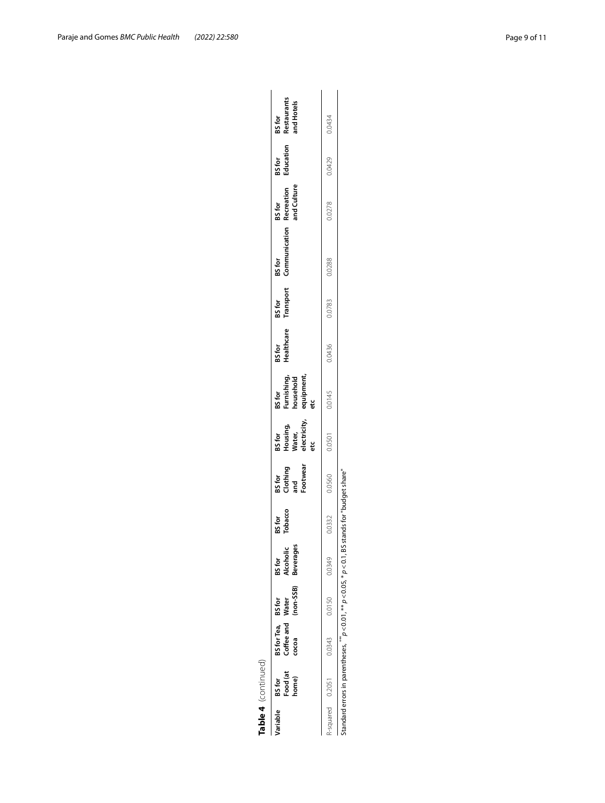|          | Table 4 (continued)         |                                                                                                                                                                                          |               |                                         |                   |                                      |                                                    |                                                         |                      |                     |                         |                                     |                     |                                            |
|----------|-----------------------------|------------------------------------------------------------------------------------------------------------------------------------------------------------------------------------------|---------------|-----------------------------------------|-------------------|--------------------------------------|----------------------------------------------------|---------------------------------------------------------|----------------------|---------------------|-------------------------|-------------------------------------|---------------------|--------------------------------------------|
| Variable | Food (at<br>home)<br>BS for | BS for Tea, BS for<br>Coffee and Water<br>cocoa                                                                                                                                          | $(non-SSB)$   | <b>Beverages</b><br>BS for<br>Alcoholic | BS for<br>Tobacco | ootwear<br>BS for<br>Clothing<br>มาd | BS for<br>Housing,<br>Water,<br>electricity,<br>eť | BS for<br>Furnishing,<br>household<br>equipment,<br>etc | BS for<br>Healthcare | BS for<br>Transport | BS for<br>Communication | BS for<br>Recreation<br>and Culture | BS for<br>Education | BS for<br>Restaurants<br><b>Ind Hotels</b> |
|          | R-squared 0.2051 0.0343     |                                                                                                                                                                                          | 0.0150 0.0349 |                                         | 0.0332            | 0.0560                               | 0.0501                                             | 0.0145                                                  | 0.0436               | 0.0783              | 0.0288                  | 0.0278                              | 0.0429              | 0.0434                                     |
|          |                             | Standard errors in parentheses, $\stackrel{**}{\phantom*}$ $\rho$ < 0.01, $\stackrel{**}{\phantom*}$ $\rho$ < 0.05, $\stackrel{*}{\phantom*}$ $\rho$ < 0.1, BS stands for "buddet share" |               |                                         |                   |                                      |                                                    |                                                         |                      |                     |                         |                                     |                     |                                            |

Standard errors in parentheses,  $\#$   $\ge$  0.01,  $\#$   $\ge$  0.05,  $*$   $\ge$  0.01, BS stands for "budget share"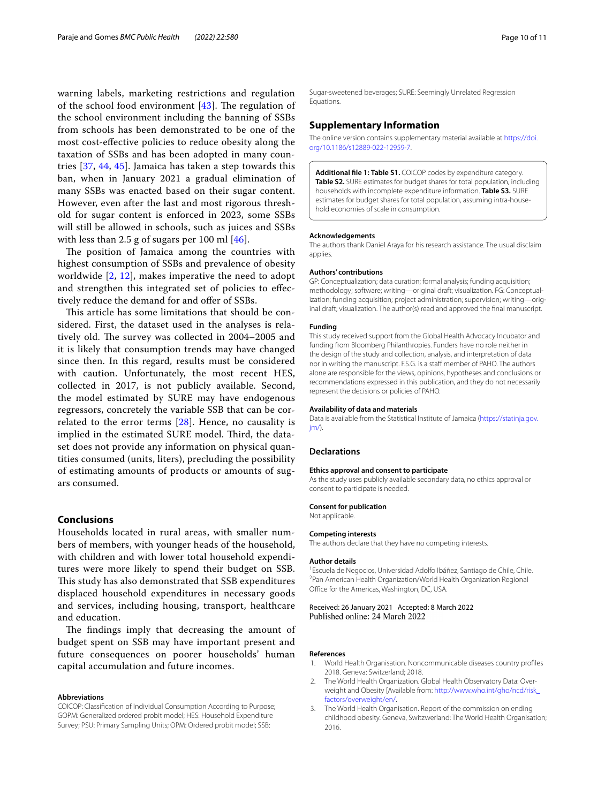warning labels, marketing restrictions and regulation of the school food environment  $[43]$  $[43]$ . The regulation of the school environment including the banning of SSBs from schools has been demonstrated to be one of the most cost-efective policies to reduce obesity along the taxation of SSBs and has been adopted in many countries [[37,](#page-10-28) [44](#page-10-35), [45\]](#page-10-36). Jamaica has taken a step towards this ban, when in January 2021 a gradual elimination of many SSBs was enacted based on their sugar content. However, even after the last and most rigorous threshold for sugar content is enforced in 2023, some SSBs will still be allowed in schools, such as juices and SSBs with less than 2.5 g of sugars per 100 ml [\[46](#page-10-37)].

The position of Jamaica among the countries with highest consumption of SSBs and prevalence of obesity worldwide [\[2](#page-9-1), [12](#page-10-6)], makes imperative the need to adopt and strengthen this integrated set of policies to efectively reduce the demand for and offer of SSBs.

This article has some limitations that should be considered. First, the dataset used in the analyses is relatively old. The survey was collected in 2004–2005 and it is likely that consumption trends may have changed since then. In this regard, results must be considered with caution. Unfortunately, the most recent HES, collected in 2017, is not publicly available. Second, the model estimated by SURE may have endogenous regressors, concretely the variable SSB that can be correlated to the error terms [[28](#page-10-21)]. Hence, no causality is implied in the estimated SURE model. Third, the dataset does not provide any information on physical quantities consumed (units, liters), precluding the possibility of estimating amounts of products or amounts of sugars consumed.

## **Conclusions**

Households located in rural areas, with smaller numbers of members, with younger heads of the household, with children and with lower total household expenditures were more likely to spend their budget on SSB. This study has also demonstrated that SSB expenditures displaced household expenditures in necessary goods and services, including housing, transport, healthcare and education.

The findings imply that decreasing the amount of budget spent on SSB may have important present and future consequences on poorer households' human capital accumulation and future incomes.

#### **Abbreviations**

COICOP: Classifcation of Individual Consumption According to Purpose; GOPM: Generalized ordered probit model; HES: Household Expenditure Survey; PSU: Primary Sampling Units; OPM: Ordered probit model; SSB:

Sugar-sweetened beverages; SURE: Seemingly Unrelated Regression Equations.

#### **Supplementary Information**

The online version contains supplementary material available at [https://doi.](https://doi.org/10.1186/s12889-022-12959-7) [org/10.1186/s12889-022-12959-7](https://doi.org/10.1186/s12889-022-12959-7).

<span id="page-9-3"></span>**Additional fle 1: Table S1.** COICOP codes by expenditure category. **Table S2.** SURE estimates for budget shares for total population, including households with incomplete expenditure information. **Table S3.** SURE estimates for budget shares for total population, assuming intra-household economies of scale in consumption.

#### **Acknowledgements**

The authors thank Daniel Araya for his research assistance. The usual disclaim applies.

#### **Authors' contributions**

GP: Conceptualization; data curation; formal analysis; funding acquisition; methodology; software; writing—original draft; visualization. FG: Conceptualization; funding acquisition; project administration; supervision; writing—original draft; visualization. The author(s) read and approved the fnal manuscript.

#### **Funding**

This study received support from the Global Health Advocacy Incubator and funding from Bloomberg Philanthropies. Funders have no role neither in the design of the study and collection, analysis, and interpretation of data nor in writing the manuscript. F.S.G. is a staff member of PAHO. The authors alone are responsible for the views, opinions, hypotheses and conclusions or recommendations expressed in this publication, and they do not necessarily represent the decisions or policies of PAHO.

#### **Availability of data and materials**

Data is available from the Statistical Institute of Jamaica ([https://statinja.gov.](https://statinja.gov.jm/)  $im/$ ).

#### **Declarations**

#### **Ethics approval and consent to participate**

As the study uses publicly available secondary data, no ethics approval or consent to participate is needed.

#### **Consent for publication**

Not applicable.

# The authors declare that they have no competing interests.

#### **Author details**

**Competing interests**

<sup>1</sup> Escuela de Negocios, Universidad Adolfo Ibáñez, Santiago de Chile, Chile. 2 Pan American Health Organization/World Health Organization Regional Office for the Americas, Washington, DC, USA.

Received: 26 January 2021 Accepted: 8 March 2022 Published online: 24 March 2022

#### **References**

- <span id="page-9-0"></span>1. World Health Organisation. Noncommunicable diseases country profles 2018. Geneva: Switzerland; 2018.
- <span id="page-9-1"></span>2. The World Health Organization. Global Health Observatory Data: Overweight and Obesity [Available from: [http://www.who.int/gho/ncd/risk\\_](http://www.who.int/gho/ncd/risk_factors/overweight/en/) [factors/overweight/en/.](http://www.who.int/gho/ncd/risk_factors/overweight/en/)
- <span id="page-9-2"></span>3. The World Health Organisation. Report of the commission on ending childhood obesity. Geneva, Switzwerland: The World Health Organisation; 2016.